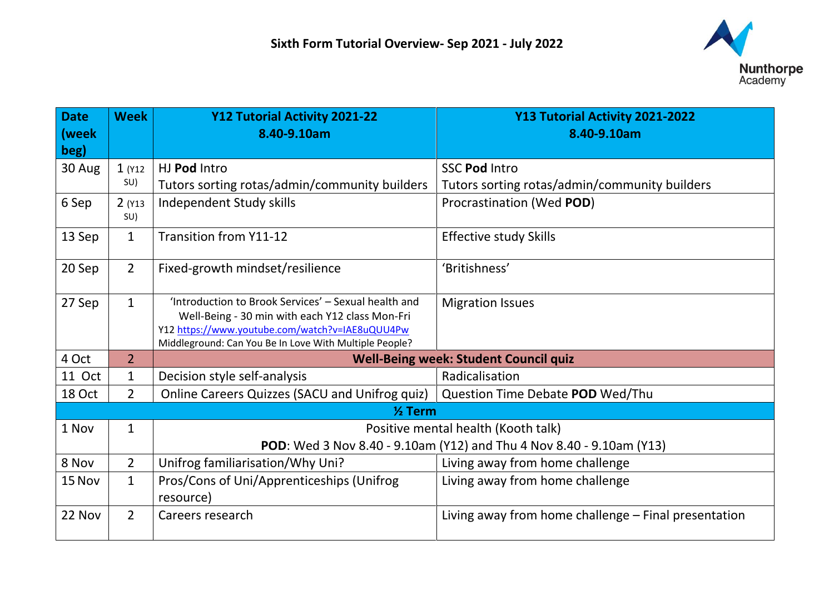

| <b>Date</b><br>(week | <b>Week</b>     | Y12 Tutorial Activity 2021-22<br>8.40-9.10am                         | Y13 Tutorial Activity 2021-2022<br>8.40-9.10am       |  |
|----------------------|-----------------|----------------------------------------------------------------------|------------------------------------------------------|--|
| beg)                 |                 | HJ Pod Intro                                                         | <b>SSC Pod Intro</b>                                 |  |
| 30 Aug               | $1($ Y12<br>SU) | Tutors sorting rotas/admin/community builders                        | Tutors sorting rotas/admin/community builders        |  |
|                      |                 |                                                                      |                                                      |  |
| 6 Sep                | 2(13)<br>SU)    | Independent Study skills                                             | Procrastination (Wed POD)                            |  |
| 13 Sep               | $\mathbf{1}$    | <b>Transition from Y11-12</b>                                        | <b>Effective study Skills</b>                        |  |
| 20 Sep               | $\overline{2}$  | Fixed-growth mindset/resilience                                      | 'Britishness'                                        |  |
| 27 Sep               | $\mathbf{1}$    | 'Introduction to Brook Services' - Sexual health and                 | <b>Migration Issues</b>                              |  |
|                      |                 | Well-Being - 30 min with each Y12 class Mon-Fri                      |                                                      |  |
|                      |                 | Y12 https://www.youtube.com/watch?v=IAE8uQUU4Pw                      |                                                      |  |
|                      |                 | Middleground: Can You Be In Love With Multiple People?               |                                                      |  |
| 4 Oct                | $\overline{2}$  | <b>Well-Being week: Student Council quiz</b>                         |                                                      |  |
| 11 Oct               | $\mathbf{1}$    | Decision style self-analysis                                         | Radicalisation                                       |  |
| 18 Oct               | $2^{\circ}$     | Online Careers Quizzes (SACU and Unifrog quiz)                       | Question Time Debate POD Wed/Thu                     |  |
| $\frac{1}{2}$ Term   |                 |                                                                      |                                                      |  |
| 1 Nov                | $\mathbf{1}$    | Positive mental health (Kooth talk)                                  |                                                      |  |
|                      |                 | POD: Wed 3 Nov 8.40 - 9.10am (Y12) and Thu 4 Nov 8.40 - 9.10am (Y13) |                                                      |  |
| 8 Nov                | $\overline{2}$  | Unifrog familiarisation/Why Uni?                                     | Living away from home challenge                      |  |
| 15 Nov               | $\mathbf{1}$    | Pros/Cons of Uni/Apprenticeships (Unifrog                            | Living away from home challenge                      |  |
|                      |                 | resource)                                                            |                                                      |  |
| 22 Nov               | $\overline{2}$  | Careers research                                                     | Living away from home challenge – Final presentation |  |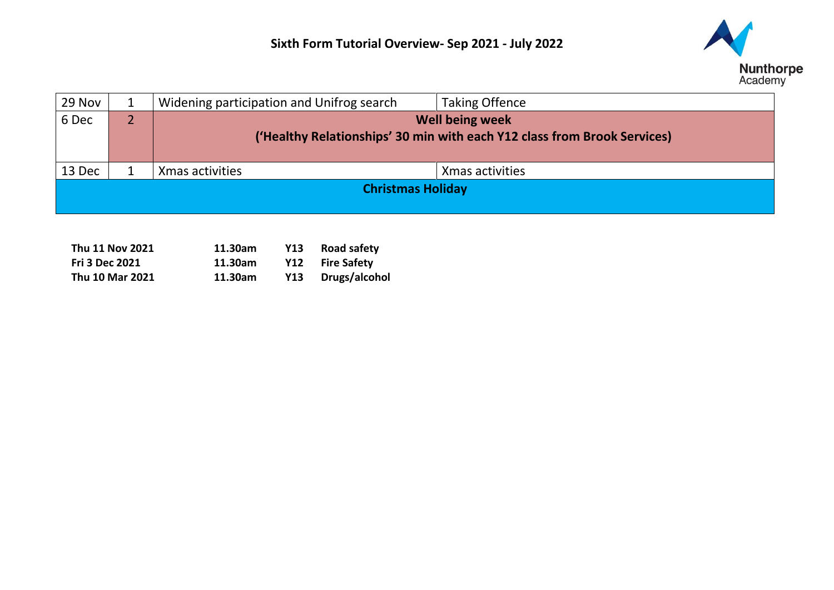

| 29 Nov                   |  | Widening participation and Unifrog search                                | <b>Taking Offence</b> |
|--------------------------|--|--------------------------------------------------------------------------|-----------------------|
| 6 Dec                    |  | <b>Well being week</b>                                                   |                       |
|                          |  | ('Healthy Relationships' 30 min with each Y12 class from Brook Services) |                       |
|                          |  |                                                                          |                       |
| 13 Dec                   |  | Xmas activities                                                          | Xmas activities       |
| <b>Christmas Holiday</b> |  |                                                                          |                       |
|                          |  |                                                                          |                       |

| Thu 11 Nov 2021 | 11.30am | Y13 | <b>Road safety</b> |
|-----------------|---------|-----|--------------------|
| Fri 3 Dec 2021  | 11.30am |     | Y12 Fire Safety    |
| Thu 10 Mar 2021 | 11.30am | Y13 | Drugs/alcohol      |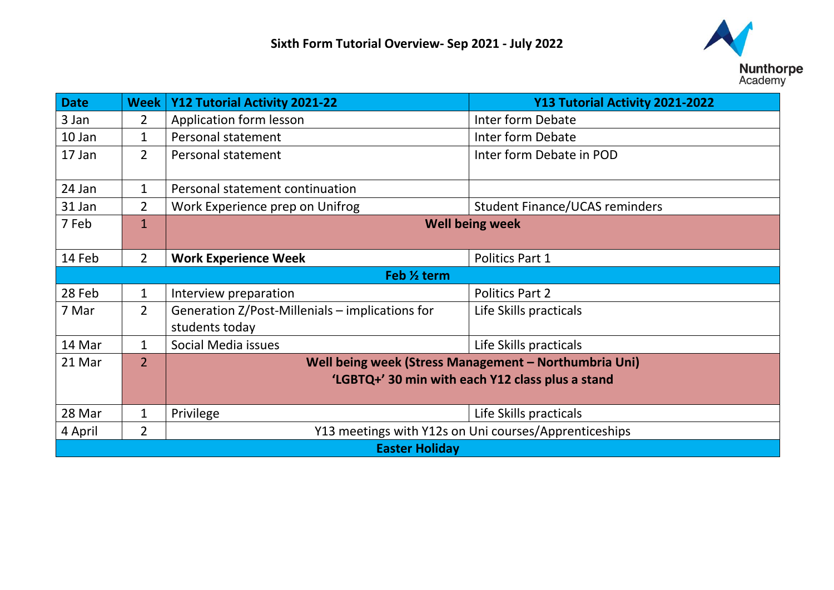

| <b>Date</b>           | <b>Week</b>    | Y12 Tutorial Activity 2021-22                         | Y13 Tutorial Activity 2021-2022       |
|-----------------------|----------------|-------------------------------------------------------|---------------------------------------|
| 3 Jan                 | $\overline{2}$ | Application form lesson                               | Inter form Debate                     |
| 10 Jan                | 1              | Personal statement                                    | Inter form Debate                     |
| 17 Jan                | $\overline{2}$ | Personal statement                                    | Inter form Debate in POD              |
| 24 Jan                | 1              | Personal statement continuation                       |                                       |
| 31 Jan                | $\overline{2}$ | Work Experience prep on Unifrog                       | <b>Student Finance/UCAS reminders</b> |
| 7 Feb                 | $\overline{1}$ | <b>Well being week</b>                                |                                       |
| 14 Feb                | $\overline{2}$ | <b>Work Experience Week</b>                           | Politics Part 1                       |
| Feb % term            |                |                                                       |                                       |
| 28 Feb                | $\mathbf 1$    | Interview preparation                                 | <b>Politics Part 2</b>                |
| 7 Mar                 | $\overline{2}$ | Generation Z/Post-Millenials – implications for       | Life Skills practicals                |
|                       |                | students today                                        |                                       |
| 14 Mar                | $\mathbf 1$    | Social Media issues                                   | Life Skills practicals                |
| 21 Mar                | $\overline{2}$ | Well being week (Stress Management - Northumbria Uni) |                                       |
|                       |                | 'LGBTQ+' 30 min with each Y12 class plus a stand      |                                       |
|                       |                |                                                       |                                       |
| 28 Mar                | 1              | Privilege                                             | Life Skills practicals                |
| 4 April               | $\overline{2}$ | Y13 meetings with Y12s on Uni courses/Apprenticeships |                                       |
| <b>Easter Holiday</b> |                |                                                       |                                       |